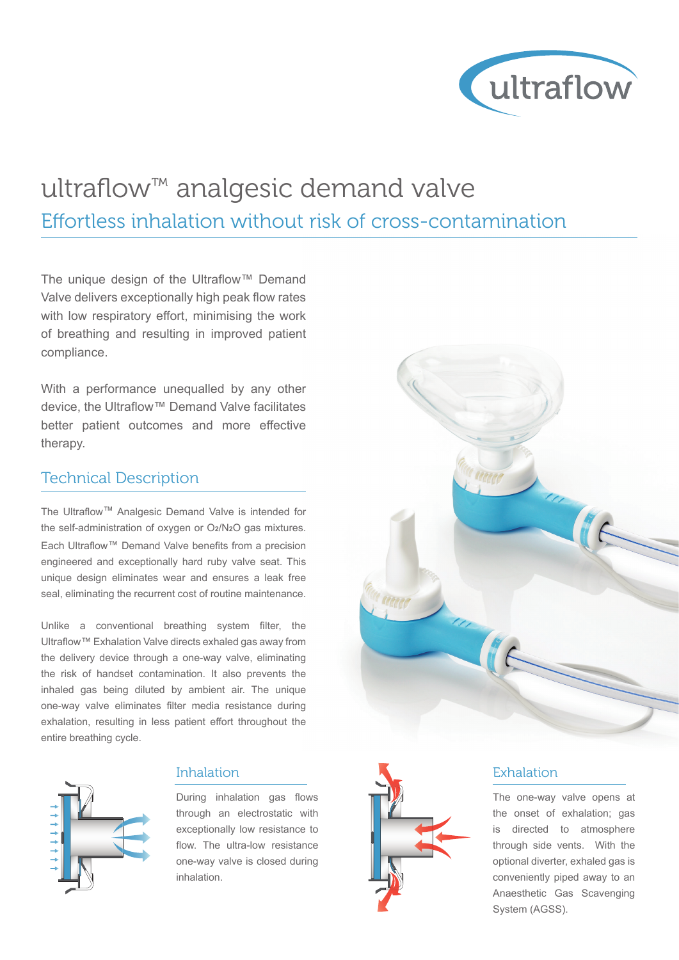

## ultraflow™ analgesic demand valve Effortless inhalation without risk of cross-contamination

The unique design of the Ultraflow™ Demand Valve delivers exceptionally high peak flow rates with low respiratory effort, minimising the work of breathing and resulting in improved patient compliance.

With a performance unequalled by any other device, the Ultraflow™ Demand Valve facilitates better patient outcomes and more effective therapy.

### Technical Description

The Ultraflow™ Analgesic Demand Valve is intended for the self-administration of oxygen or O**2**/N**2**O gas mixtures. Each Ultraflow™ Demand Valve benefits from a precision engineered and exceptionally hard ruby valve seat. This unique design eliminates wear and ensures a leak free seal, eliminating the recurrent cost of routine maintenance.

Unlike a conventional breathing system filter, the Ultraflow™ Exhalation Valve directs exhaled gas away from the delivery device through a one-way valve, eliminating the risk of handset contamination. It also prevents the inhaled gas being diluted by ambient air. The unique one-way valve eliminates filter media resistance during exhalation, resulting in less patient effort throughout the entire breathing cycle.



#### Inhalation

During inhalation gas flows through an electrostatic with exceptionally low resistance to flow. The ultra-low resistance one-way valve is closed during inhalation.





#### Exhalation

The one-way valve opens at the onset of exhalation; gas is directed to atmosphere through side vents. With the optional diverter, exhaled gas is conveniently piped away to an Anaesthetic Gas Scavenging System (AGSS).